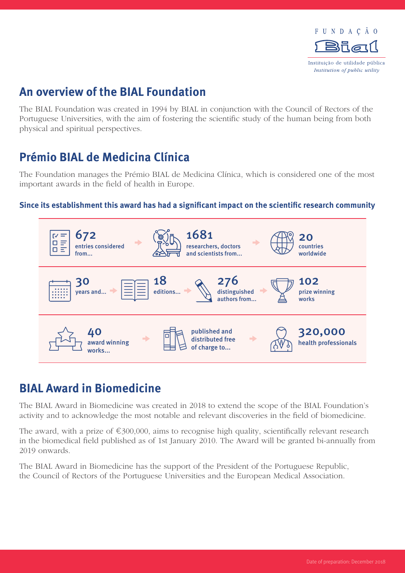

## **An overview of the BIAL Foundation**

The BIAL Foundation was created in 1994 by BIAL in conjunction with the Council of Rectors of the Portuguese Universities, with the aim of fostering the scientific study of the human being from both physical and spiritual perspectives.

# **Prémio BIAL de Medicina Clínica**

The Foundation manages the Prémio BIAL de Medicina Clínica, which is considered one of the most important awards in the field of health in Europe.

#### **Since its establishment this award has had a significant impact on the scientific research community**



## **BIAL Award in Biomedicine**

The BIAL Award in Biomedicine was created in 2018 to extend the scope of the BIAL Foundation's activity and to acknowledge the most notable and relevant discoveries in the field of biomedicine.

The award, with a prize of  $\epsilon$ 300,000, aims to recognise high quality, scientifically relevant research in the biomedical field published as of 1st January 2010. The Award will be granted bi-annually from 2019 onwards.

The BIAL Award in Biomedicine has the support of the President of the Portuguese Republic, the Council of Rectors of the Portuguese Universities and the European Medical Association.